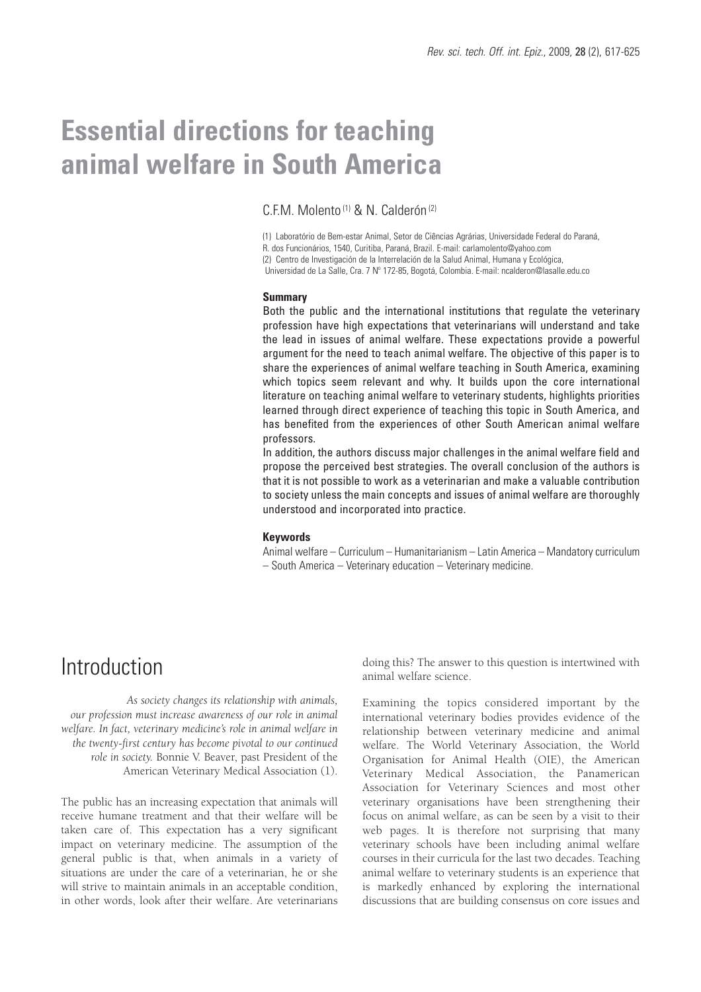# **Essential directions for teaching animal welfare in South America**

C.F.M. Molento (1) & N. Calderón (2)

(1) Laboratório de Bem-estar Animal, Setor de Ciências Agrárias, Universidade Federal do Paraná, R. dos Funcionários, 1540, Curitiba, Paraná, Brazil. E-mail: carlamolento@yahoo.com (2) Centro de Investigación de la Interrelación de la Salud Animal, Humana y Ecológica, Universidad de La Salle, Cra. 7 Nº 172-85, Bogotá, Colombia. E-mail: ncalderon@lasalle.edu.co

#### **Summary**

Both the public and the international institutions that regulate the veterinary profession have high expectations that veterinarians will understand and take the lead in issues of animal welfare. These expectations provide a powerful argument for the need to teach animal welfare. The objective of this paper is to share the experiences of animal welfare teaching in South America, examining which topics seem relevant and why. It builds upon the core international literature on teaching animal welfare to veterinary students, highlights priorities learned through direct experience of teaching this topic in South America, and has benefited from the experiences of other South American animal welfare professors.

In addition, the authors discuss major challenges in the animal welfare field and propose the perceived best strategies. The overall conclusion of the authors is that it is not possible to work as a veterinarian and make a valuable contribution to society unless the main concepts and issues of animal welfare are thoroughly understood and incorporated into practice.

### **Keywords**

Animal welfare – Curriculum – Humanitarianism – Latin America – Mandatory curriculum – South America – Veterinary education – Veterinary medicine.

### Introduction

*As society changes its relationship with animals, our profession must increase awareness of our role in animal welfare. In fact, veterinary medicine's role in animal welfare in the twenty-first century has become pivotal to our continued role in society.* Bonnie V. Beaver, past President of the American Veterinary Medical Association (1).

The public has an increasing expectation that animals will receive humane treatment and that their welfare will be taken care of. This expectation has a very significant impact on veterinary medicine. The assumption of the general public is that, when animals in a variety of situations are under the care of a veterinarian, he or she will strive to maintain animals in an acceptable condition, in other words, look after their welfare. Are veterinarians

doing this? The answer to this question is intertwined with animal welfare science.

Examining the topics considered important by the international veterinary bodies provides evidence of the relationship between veterinary medicine and animal welfare. The World Veterinary Association, the World Organisation for Animal Health (OIE), the American Veterinary Medical Association, the Panamerican Association for Veterinary Sciences and most other veterinary organisations have been strengthening their focus on animal welfare, as can be seen by a visit to their web pages. It is therefore not surprising that many veterinary schools have been including animal welfare courses in their curricula for the last two decades. Teaching animal welfare to veterinary students is an experience that is markedly enhanced by exploring the international discussions that are building consensus on core issues and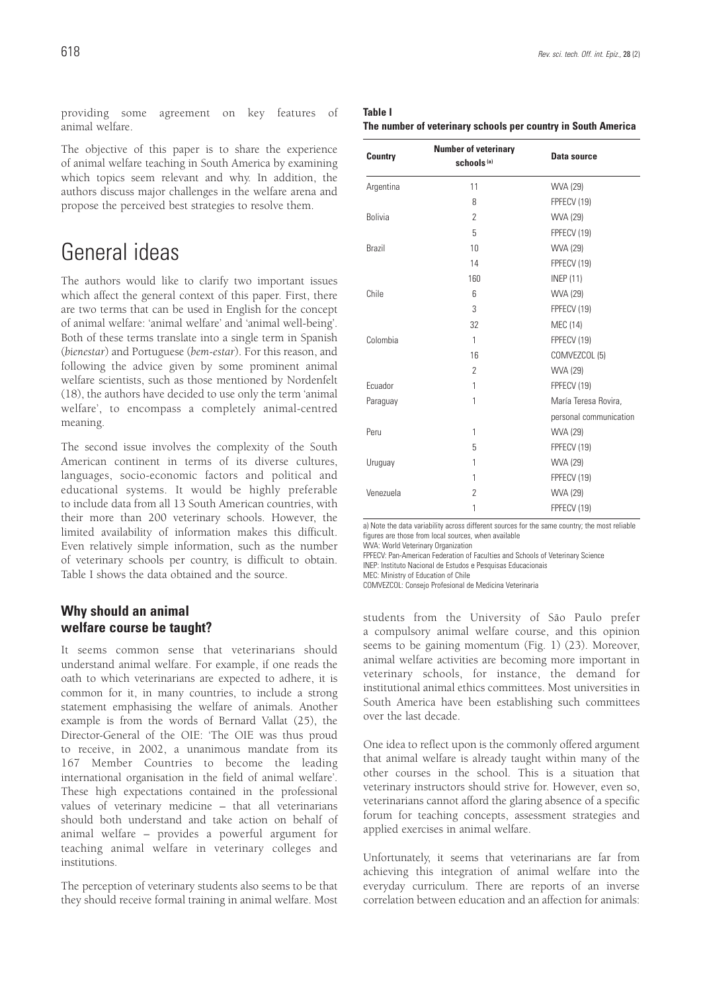providing some agreement on key features of animal welfare.

The objective of this paper is to share the experience of animal welfare teaching in South America by examining which topics seem relevant and why. In addition, the authors discuss major challenges in the welfare arena and propose the perceived best strategies to resolve them.

### General ideas

The authors would like to clarify two important issues which affect the general context of this paper. First, there are two terms that can be used in English for the concept of animal welfare: 'animal welfare' and 'animal well-being'. Both of these terms translate into a single term in Spanish (*bienestar*) and Portuguese (*bem-estar*). For this reason, and following the advice given by some prominent animal welfare scientists, such as those mentioned by Nordenfelt (18), the authors have decided to use only the term 'animal welfare', to encompass a completely animal-centred meaning.

The second issue involves the complexity of the South American continent in terms of its diverse cultures, languages, socio-economic factors and political and educational systems. It would be highly preferable to include data from all 13 South American countries, with their more than 200 veterinary schools. However, the limited availability of information makes this difficult. Even relatively simple information, such as the number of veterinary schools per country, is difficult to obtain. Table I shows the data obtained and the source.

### **Why should an animal welfare course be taught?**

It seems common sense that veterinarians should understand animal welfare. For example, if one reads the oath to which veterinarians are expected to adhere, it is common for it, in many countries, to include a strong statement emphasising the welfare of animals. Another example is from the words of Bernard Vallat (25), the Director-General of the OIE: 'The OIE was thus proud to receive, in 2002, a unanimous mandate from its 167 Member Countries to become the leading international organisation in the field of animal welfare'. These high expectations contained in the professional values of veterinary medicine – that all veterinarians should both understand and take action on behalf of animal welfare – provides a powerful argument for teaching animal welfare in veterinary colleges and institutions.

The perception of veterinary students also seems to be that they should receive formal training in animal welfare. Most

| . .<br>۰.<br>۰.<br>×<br>× |  |
|---------------------------|--|
|---------------------------|--|

**The number of veterinary schools per country in South America** 

| <b>Country</b> | <b>Number of veterinary</b><br>schools <sup>(a)</sup> | Data source            |  |
|----------------|-------------------------------------------------------|------------------------|--|
| Argentina      | 11                                                    | WVA (29)               |  |
|                | 8                                                     | FPFECV (19)            |  |
| <b>Bolivia</b> | $\overline{2}$                                        | WVA (29)               |  |
|                | 5                                                     | FPFECV (19)            |  |
| Brazil         | 10 <sup>1</sup>                                       | WVA (29)               |  |
|                | 14                                                    | FPFECV (19)            |  |
|                | 160                                                   | <b>INEP (11)</b>       |  |
| Chile          | 6                                                     | WVA (29)               |  |
|                | 3                                                     | FPFECV (19)            |  |
|                | 32                                                    | <b>MEC (14)</b>        |  |
| Colombia       | 1                                                     | FPFECV (19)            |  |
|                | 16                                                    | COMVEZCOL (5)          |  |
|                | $\overline{2}$                                        | WVA (29)               |  |
| Ecuador        | 1                                                     | FPFECV (19)            |  |
| Paraguay       | 1                                                     | María Teresa Rovira,   |  |
|                |                                                       | personal communication |  |
| Peru           | 1                                                     | WVA (29)               |  |
|                | 5                                                     | FPFECV (19)            |  |
| Uruguay        | 1                                                     | WVA (29)               |  |
|                | 1                                                     | FPFECV (19)            |  |
| Venezuela      | $\overline{2}$                                        | WVA (29)               |  |
|                | 1                                                     | FPFECV (19)            |  |

a) Note the data variability across different sources for the same country; the most reliable figures are those from local sources, when available

WVA: World Veterinary Organization

FPFECV: Pan-American Federation of Faculties and Schools of Veterinary Science INEP: Instituto Nacional de Estudos e Pesquisas Educacionais

MEC: Ministry of Education of Chile

COMVEZCOL: Consejo Profesional de Medicina Veterinaria

students from the University of São Paulo prefer a compulsory animal welfare course, and this opinion seems to be gaining momentum (Fig. 1) (23). Moreover, animal welfare activities are becoming more important in veterinary schools, for instance, the demand for institutional animal ethics committees. Most universities in South America have been establishing such committees over the last decade.

One idea to reflect upon is the commonly offered argument that animal welfare is already taught within many of the other courses in the school. This is a situation that veterinary instructors should strive for. However, even so, veterinarians cannot afford the glaring absence of a specific forum for teaching concepts, assessment strategies and applied exercises in animal welfare.

Unfortunately, it seems that veterinarians are far from achieving this integration of animal welfare into the everyday curriculum. There are reports of an inverse correlation between education and an affection for animals: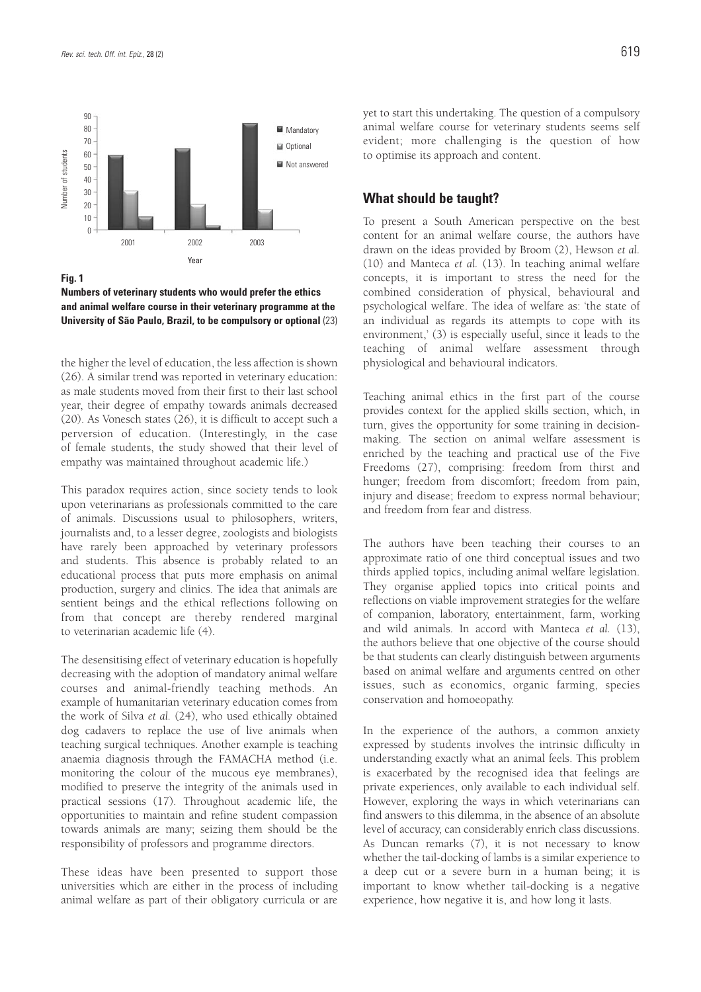

**Numbers of veterinary students who would prefer the ethics and animal welfare course in their veterinary programme at the**

the higher the level of education, the less affection is shown (26). A similar trend was reported in veterinary education: as male students moved from their first to their last school year, their degree of empathy towards animals decreased (20). As Vonesch states (26), it is difficult to accept such a perversion of education. (Interestingly, in the case of female students, the study showed that their level of empathy was maintained throughout academic life.)

This paradox requires action, since society tends to look upon veterinarians as professionals committed to the care of animals. Discussions usual to philosophers, writers, journalists and, to a lesser degree, zoologists and biologists have rarely been approached by veterinary professors and students. This absence is probably related to an educational process that puts more emphasis on animal production, surgery and clinics. The idea that animals are sentient beings and the ethical reflections following on from that concept are thereby rendered marginal to veterinarian academic life (4).

The desensitising effect of veterinary education is hopefully decreasing with the adoption of mandatory animal welfare courses and animal-friendly teaching methods. An example of humanitarian veterinary education comes from the work of Silva *et al.* (24), who used ethically obtained dog cadavers to replace the use of live animals when teaching surgical techniques. Another example is teaching anaemia diagnosis through the FAMACHA method (i.e. monitoring the colour of the mucous eye membranes), modified to preserve the integrity of the animals used in practical sessions (17). Throughout academic life, the opportunities to maintain and refine student compassion towards animals are many; seizing them should be the responsibility of professors and programme directors.

These ideas have been presented to support those universities which are either in the process of including animal welfare as part of their obligatory curricula or are yet to start this undertaking. The question of a compulsory animal welfare course for veterinary students seems self evident; more challenging is the question of how to optimise its approach and content.

### **What should be taught?**

To present a South American perspective on the best content for an animal welfare course, the authors have drawn on the ideas provided by Broom (2), Hewson *et al.* (10) and Manteca *et al.* (13). In teaching animal welfare concepts, it is important to stress the need for the combined consideration of physical, behavioural and psychological welfare. The idea of welfare as: 'the state of an individual as regards its attempts to cope with its environment,' (3) is especially useful, since it leads to the teaching of animal welfare assessment through physiological and behavioural indicators.

Teaching animal ethics in the first part of the course provides context for the applied skills section, which, in turn, gives the opportunity for some training in decisionmaking. The section on animal welfare assessment is enriched by the teaching and practical use of the Five Freedoms (27), comprising: freedom from thirst and hunger; freedom from discomfort; freedom from pain, injury and disease; freedom to express normal behaviour; and freedom from fear and distress.

The authors have been teaching their courses to an approximate ratio of one third conceptual issues and two thirds applied topics, including animal welfare legislation. They organise applied topics into critical points and reflections on viable improvement strategies for the welfare of companion, laboratory, entertainment, farm, working and wild animals. In accord with Manteca *et al.* (13), the authors believe that one objective of the course should be that students can clearly distinguish between arguments based on animal welfare and arguments centred on other issues, such as economics, organic farming, species conservation and homoeopathy.

In the experience of the authors, a common anxiety expressed by students involves the intrinsic difficulty in understanding exactly what an animal feels. This problem is exacerbated by the recognised idea that feelings are private experiences, only available to each individual self. However, exploring the ways in which veterinarians can find answers to this dilemma, in the absence of an absolute level of accuracy, can considerably enrich class discussions. As Duncan remarks (7), it is not necessary to know whether the tail-docking of lambs is a similar experience to a deep cut or a severe burn in a human being; it is important to know whether tail-docking is a negative experience, how negative it is, and how long it lasts.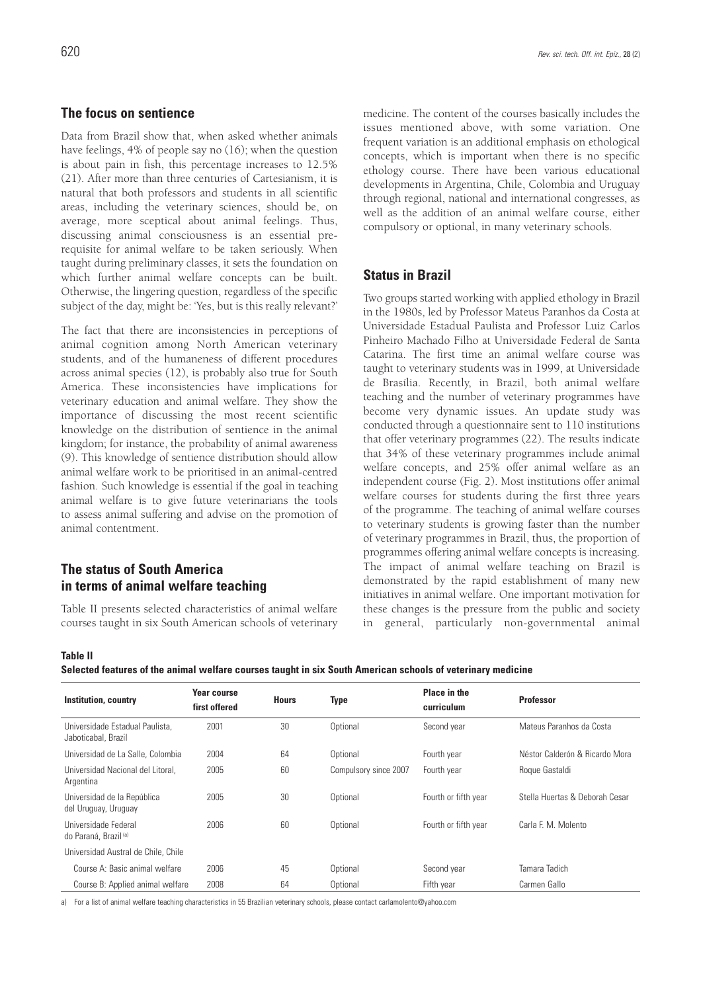### **The focus on sentience**

Data from Brazil show that, when asked whether animals have feelings, 4% of people say no (16); when the question is about pain in fish, this percentage increases to 12.5% (21). After more than three centuries of Cartesianism, it is natural that both professors and students in all scientific areas, including the veterinary sciences, should be, on average, more sceptical about animal feelings. Thus, discussing animal consciousness is an essential prerequisite for animal welfare to be taken seriously. When taught during preliminary classes, it sets the foundation on which further animal welfare concepts can be built. Otherwise, the lingering question, regardless of the specific subject of the day, might be: 'Yes, but is this really relevant?'

The fact that there are inconsistencies in perceptions of animal cognition among North American veterinary students, and of the humaneness of different procedures across animal species (12), is probably also true for South America. These inconsistencies have implications for veterinary education and animal welfare. They show the importance of discussing the most recent scientific knowledge on the distribution of sentience in the animal kingdom; for instance, the probability of animal awareness (9). This knowledge of sentience distribution should allow animal welfare work to be prioritised in an animal-centred fashion. Such knowledge is essential if the goal in teaching animal welfare is to give future veterinarians the tools to assess animal suffering and advise on the promotion of animal contentment.

### **The status of South America in terms of animal welfare teaching**

Table II presents selected characteristics of animal welfare courses taught in six South American schools of veterinary

medicine. The content of the courses basically includes the issues mentioned above, with some variation. One frequent variation is an additional emphasis on ethological concepts, which is important when there is no specific ethology course. There have been various educational developments in Argentina, Chile, Colombia and Uruguay through regional, national and international congresses, as well as the addition of an animal welfare course, either compulsory or optional, in many veterinary schools.

### **Status in Brazil**

Two groups started working with applied ethology in Brazil in the 1980s, led by Professor Mateus Paranhos da Costa at Universidade Estadual Paulista and Professor Luiz Carlos Pinheiro Machado Filho at Universidade Federal de Santa Catarina. The first time an animal welfare course was taught to veterinary students was in 1999, at Universidade de Brasília. Recently, in Brazil, both animal welfare teaching and the number of veterinary programmes have become very dynamic issues. An update study was conducted through a questionnaire sent to 110 institutions that offer veterinary programmes (22). The results indicate that 34% of these veterinary programmes include animal welfare concepts, and 25% offer animal welfare as an independent course (Fig. 2). Most institutions offer animal welfare courses for students during the first three years of the programme. The teaching of animal welfare courses to veterinary students is growing faster than the number of veterinary programmes in Brazil, thus, the proportion of programmes offering animal welfare concepts is increasing. The impact of animal welfare teaching on Brazil is demonstrated by the rapid establishment of many new initiatives in animal welfare. One important motivation for these changes is the pressure from the public and society in general, particularly non-governmental animal

#### **Table II**

**Selected features of the animal welfare courses taught in six South American schools of veterinary medicine**

| <b>Institution, country</b>                              | <b>Year course</b><br>first offered | <b>Hours</b> | <b>Type</b>           | <b>Place in the</b><br>curriculum | <b>Professor</b>               |
|----------------------------------------------------------|-------------------------------------|--------------|-----------------------|-----------------------------------|--------------------------------|
| Universidade Estadual Paulista.<br>Jaboticabal, Brazil   | 2001                                | 30           | Optional              | Second year                       | Mateus Paranhos da Costa       |
| Universidad de La Salle, Colombia                        | 2004                                | 64           | Optional              | Fourth year                       | Néstor Calderón & Ricardo Mora |
| Universidad Nacional del Litoral.<br>Argentina           | 2005                                | 60           | Compulsory since 2007 | Fourth year                       | Roque Gastaldi                 |
| Universidad de la República<br>del Uruguay, Uruguay      | 2005                                | 30           | Optional              | Fourth or fifth year              | Stella Huertas & Deborah Cesar |
| Universidade Federal<br>do Paraná, Brazil <sup>la)</sup> | 2006                                | 60           | Optional              | Fourth or fifth year              | Carla F. M. Molento            |
| Universidad Austral de Chile, Chile                      |                                     |              |                       |                                   |                                |
| Course A: Basic animal welfare                           | 2006                                | 45           | Optional              | Second year                       | Tamara Tadich                  |
| Course B: Applied animal welfare                         | 2008                                | 64           | Optional              | Fifth year                        | Carmen Gallo                   |

a) For a list of animal welfare teaching characteristics in 55 Brazilian veterinary schools, please contact carlamolento@yahoo.com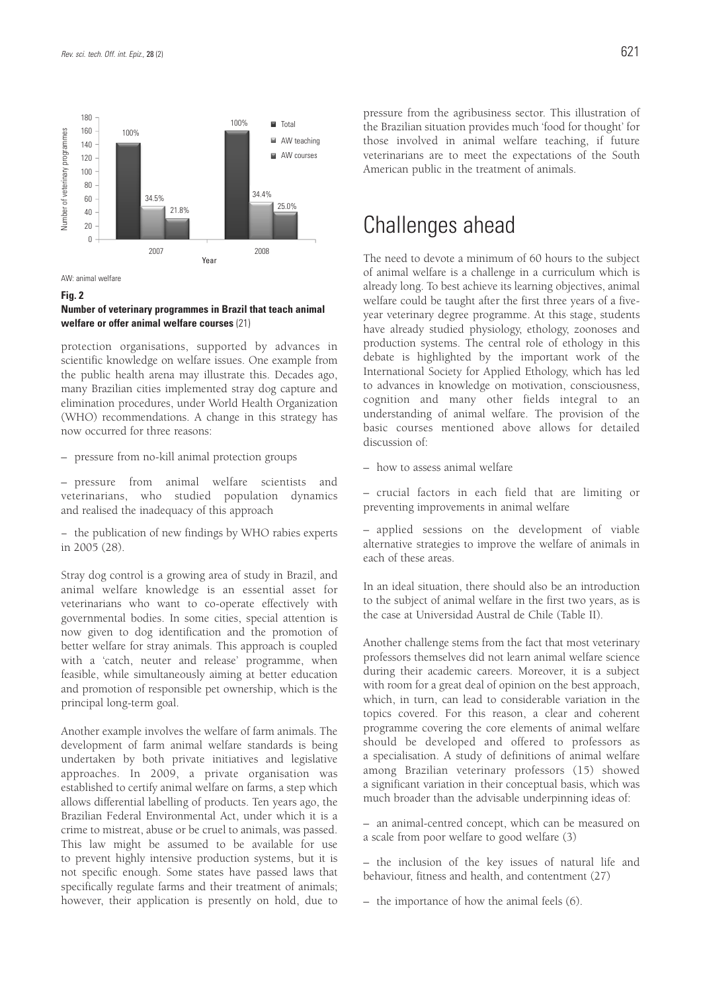

AW: animal welfare

**Fig. 2**

# **Number of veterinary programmes in Brazil that teach animal**

protection organisations, supported by advances in scientific knowledge on welfare issues. One example from the public health arena may illustrate this. Decades ago, many Brazilian cities implemented stray dog capture and elimination procedures, under World Health Organization (WHO) recommendations. A change in this strategy has now occurred for three reasons:

– pressure from no-kill animal protection groups

– pressure from animal welfare scientists and veterinarians, who studied population dynamics and realised the inadequacy of this approach

− the publication of new findings by WHO rabies experts in 2005 (28).

Stray dog control is a growing area of study in Brazil, and animal welfare knowledge is an essential asset for veterinarians who want to co-operate effectively with governmental bodies. In some cities, special attention is now given to dog identification and the promotion of better welfare for stray animals. This approach is coupled with a 'catch, neuter and release' programme, when feasible, while simultaneously aiming at better education and promotion of responsible pet ownership, which is the principal long-term goal.

Another example involves the welfare of farm animals. The development of farm animal welfare standards is being undertaken by both private initiatives and legislative approaches. In 2009, a private organisation was established to certify animal welfare on farms, a step which allows differential labelling of products. Ten years ago, the Brazilian Federal Environmental Act, under which it is a crime to mistreat, abuse or be cruel to animals, was passed. This law might be assumed to be available for use to prevent highly intensive production systems, but it is not specific enough. Some states have passed laws that specifically regulate farms and their treatment of animals; however, their application is presently on hold, due to

pressure from the agribusiness sector. This illustration of the Brazilian situation provides much 'food for thought' for those involved in animal welfare teaching, if future veterinarians are to meet the expectations of the South American public in the treatment of animals.

### Challenges ahead

The need to devote a minimum of 60 hours to the subject of animal welfare is a challenge in a curriculum which is already long. To best achieve its learning objectives, animal welfare could be taught after the first three years of a fiveyear veterinary degree programme. At this stage, students have already studied physiology, ethology, zoonoses and production systems. The central role of ethology in this debate is highlighted by the important work of the International Society for Applied Ethology, which has led to advances in knowledge on motivation, consciousness, cognition and many other fields integral to an understanding of animal welfare. The provision of the basic courses mentioned above allows for detailed discussion of:

– how to assess animal welfare

– crucial factors in each field that are limiting or preventing improvements in animal welfare

– applied sessions on the development of viable alternative strategies to improve the welfare of animals in each of these areas.

In an ideal situation, there should also be an introduction to the subject of animal welfare in the first two years, as is the case at Universidad Austral de Chile (Table II).

Another challenge stems from the fact that most veterinary professors themselves did not learn animal welfare science during their academic careers. Moreover, it is a subject with room for a great deal of opinion on the best approach, which, in turn, can lead to considerable variation in the topics covered. For this reason, a clear and coherent programme covering the core elements of animal welfare should be developed and offered to professors as a specialisation. A study of definitions of animal welfare among Brazilian veterinary professors (15) showed a significant variation in their conceptual basis, which was much broader than the advisable underpinning ideas of:

– an animal-centred concept, which can be measured on a scale from poor welfare to good welfare (3)

– the inclusion of the key issues of natural life and behaviour, fitness and health, and contentment (27)

– the importance of how the animal feels (6).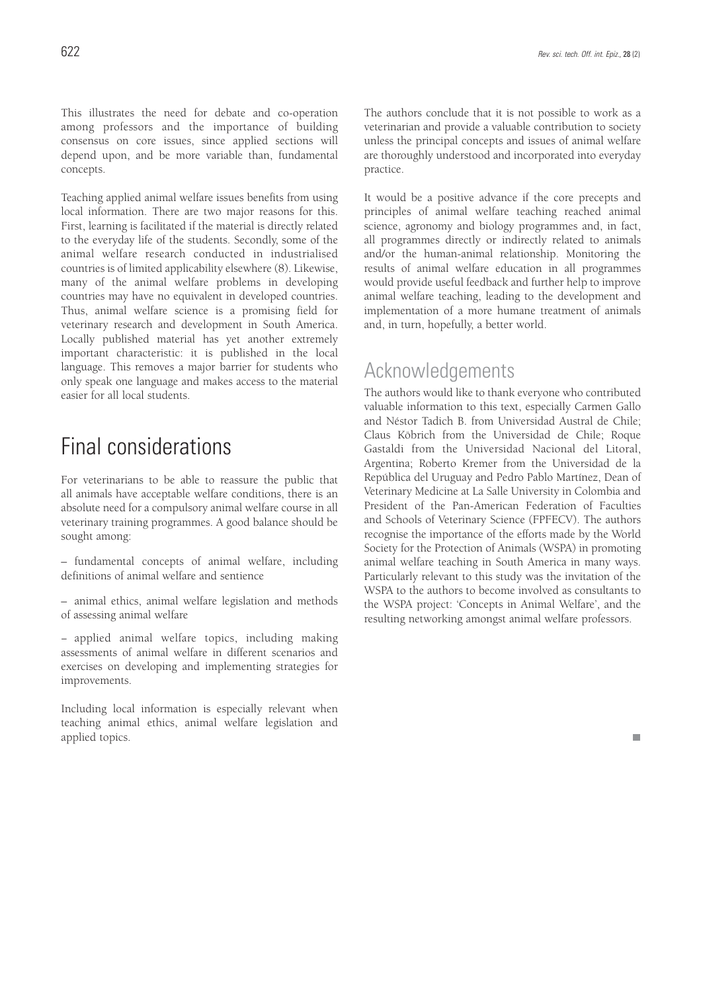This illustrates the need for debate and co-operation among professors and the importance of building consensus on core issues, since applied sections will depend upon, and be more variable than, fundamental concepts.

Teaching applied animal welfare issues benefits from using local information. There are two major reasons for this. First, learning is facilitated if the material is directly related to the everyday life of the students. Secondly, some of the animal welfare research conducted in industrialised countries is of limited applicability elsewhere (8). Likewise, many of the animal welfare problems in developing countries may have no equivalent in developed countries. Thus, animal welfare science is a promising field for veterinary research and development in South America. Locally published material has yet another extremely important characteristic: it is published in the local language. This removes a major barrier for students who only speak one language and makes access to the material easier for all local students.

# Final considerations

For veterinarians to be able to reassure the public that all animals have acceptable welfare conditions, there is an absolute need for a compulsory animal welfare course in all veterinary training programmes. A good balance should be sought among:

– fundamental concepts of animal welfare, including definitions of animal welfare and sentience

– animal ethics, animal welfare legislation and methods of assessing animal welfare

− applied animal welfare topics, including making assessments of animal welfare in different scenarios and exercises on developing and implementing strategies for improvements.

Including local information is especially relevant when teaching animal ethics, animal welfare legislation and applied topics.

The authors conclude that it is not possible to work as a veterinarian and provide a valuable contribution to society unless the principal concepts and issues of animal welfare are thoroughly understood and incorporated into everyday practice.

It would be a positive advance if the core precepts and principles of animal welfare teaching reached animal science, agronomy and biology programmes and, in fact, all programmes directly or indirectly related to animals and/or the human-animal relationship. Monitoring the results of animal welfare education in all programmes would provide useful feedback and further help to improve animal welfare teaching, leading to the development and implementation of a more humane treatment of animals and, in turn, hopefully, a better world.

### Acknowledgements

The authors would like to thank everyone who contributed valuable information to this text, especially Carmen Gallo and Néstor Tadich B. from Universidad Austral de Chile; Claus Köbrich from the Universidad de Chile; Roque Gastaldi from the Universidad Nacional del Litoral, Argentina; Roberto Kremer from the Universidad de la República del Uruguay and Pedro Pablo Martínez, Dean of Veterinary Medicine at La Salle University in Colombia and President of the Pan-American Federation of Faculties and Schools of Veterinary Science (FPFECV). The authors recognise the importance of the efforts made by the World Society for the Protection of Animals (WSPA) in promoting animal welfare teaching in South America in many ways. Particularly relevant to this study was the invitation of the WSPA to the authors to become involved as consultants to the WSPA project: 'Concepts in Animal Welfare', and the resulting networking amongst animal welfare professors.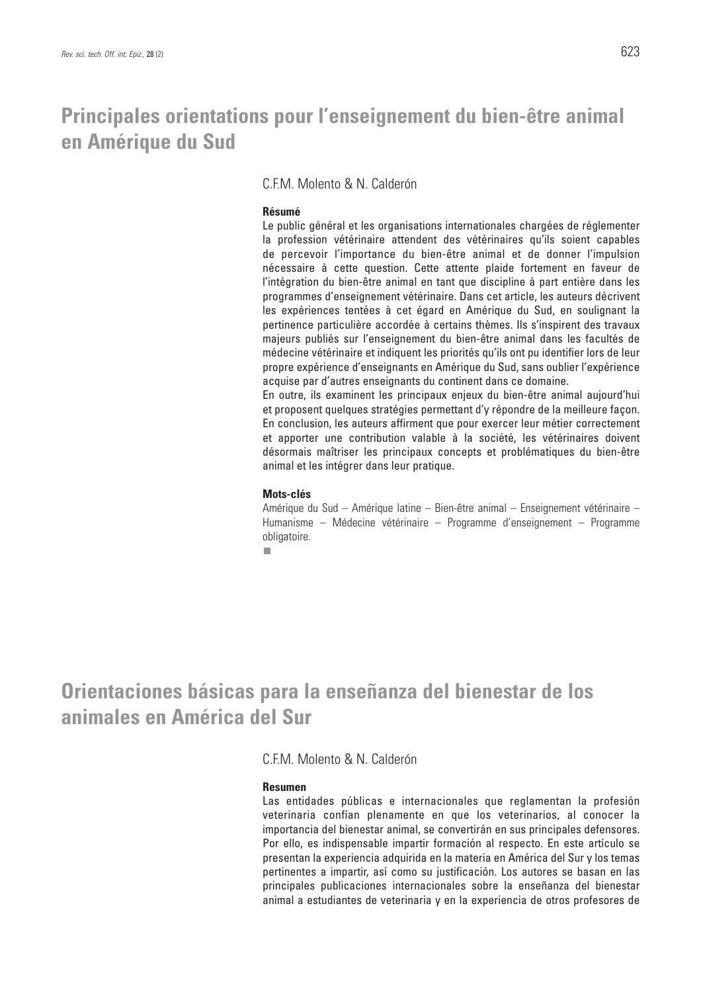# **Principales orientations pour l'enseignement du bien-être animal en Amérique du Sud**

C.F.M. Molento & N. Calderón

### **Résumé**

Le public général et les organisations internationales chargées de réglementer la profession vétérinaire attendent des vétérinaires qu'ils soient capables de percevoir l'importance du bien-être animal et de donner l'impulsion nécessaire à cette question. Cette attente plaide fortement en faveur de l'intégration du bien-être animal en tant que discipline à part entière dans les programmes d'enseignement vétérinaire. Dans cet article, les auteurs décrivent les expériences tentées à cet égard en Amérique du Sud, en soulignant la pertinence particulière accordée à certains thèmes. Ils s'inspirent des travaux majeurs publiés sur l'enseignement du bien-être animal dans les facultés de médecine vétérinaire et indiquent les priorités qu'ils ont pu identifier lors de leur propre expérience d'enseignants en Amérique du Sud, sans oublier l'expérience acquise par d'autres enseignants du continent dans ce domaine.

En outre, ils examinent les principaux enjeux du bien-être animal aujourd'hui et proposent quelques stratégies permettant d'y répondre de la meilleure façon. En conclusion, les auteurs affirment que pour exercer leur métier correctement et apporter une contribution valable à la société, les vétérinaires doivent désormais maîtriser les principaux concepts et problématiques du bien-être animal et les intégrer dans leur pratique.

#### **Mots-clés**

Amérique du Sud – Amérique latine – Bien-être animal – Enseignement vétérinaire – Humanisme – Médecine vétérinaire – Programme d'enseignement – Programme obligatoire.

 $\overline{\phantom{a}}$ 

# **Orientaciones básicas para la enseñanza del bienestar de los animales en América del Sur**

C.F.M. Molento & N. Calderón

### **Resumen**

Las entidades públicas e internacionales que reglamentan la profesión veterinaria confían plenamente en que los veterinarios, al conocer la importancia del bienestar animal, se convertirán en sus principales defensores. Por ello, es indispensable impartir formación al respecto. En este artículo se presentan la experiencia adquirida en la materia en América del Sur y los temas pertinentes a impartir, así como su justificación. Los autores se basan en las principales publicaciones internacionales sobre la enseñanza del bienestar animal a estudiantes de veterinaria y en la experiencia de otros profesores de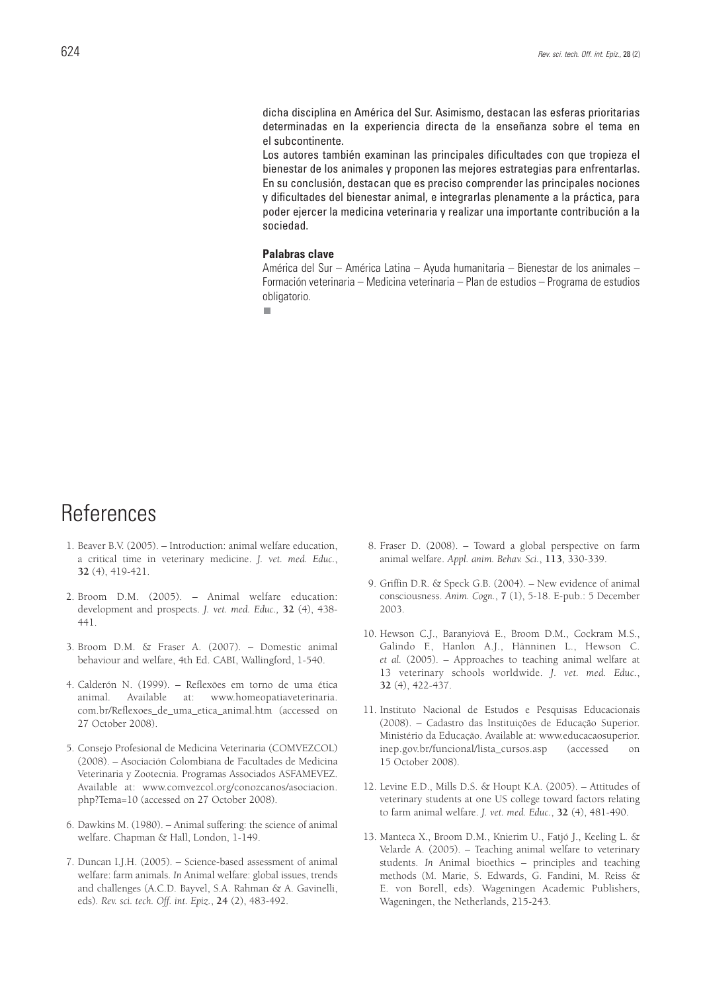dicha disciplina en América del Sur. Asimismo, destacan las esferas prioritarias determinadas en la experiencia directa de la enseñanza sobre el tema en el subcontinente.

Los autores también examinan las principales dificultades con que tropieza el bienestar de los animales y proponen las mejores estrategias para enfrentarlas. En su conclusión, destacan que es preciso comprender las principales nociones y dificultades del bienestar animal, e integrarlas plenamente a la práctica, para poder ejercer la medicina veterinaria y realizar una importante contribución a la sociedad.

#### **Palabras clave**

América del Sur – América Latina – Ayuda humanitaria – Bienestar de los animales – Formación veterinaria – Medicina veterinaria – Plan de estudios – Programa de estudios obligatorio.

п

# References

- 1. Beaver B.V. (2005). Introduction: animal welfare education, a critical time in veterinary medicine. *J. vet. med. Educ.*, **32** (4), 419-421.
- 2. Broom D.M. (2005). Animal welfare education: development and prospects. *J. vet. med. Educ.,* **32** (4), 438- 441.
- 3. Broom D.M. & Fraser A. (2007). Domestic animal behaviour and welfare, 4th Ed. CABI, Wallingford, 1-540.
- 4. Calderón N. (1999). Reflexões em torno de uma ética animal. Available at: www.homeopatiaveterinaria. com.br/Reflexoes\_de\_uma\_etica\_animal.htm (accessed on 27 October 2008).
- 5. Consejo Profesional de Medicina Veterinaria (COMVEZCOL) (2008). – Asociación Colombiana de Facultades de Medicina Veterinaria y Zootecnia. Programas Associados ASFAMEVEZ. Available at: www.comvezcol.org/conozcanos/asociacion. php?Tema=10 (accessed on 27 October 2008).
- 6. Dawkins M. (1980). Animal suffering: the science of animal welfare. Chapman & Hall, London, 1-149.
- 7. Duncan I.J.H. (2005). Science-based assessment of animal welfare: farm animals. *In* Animal welfare: global issues, trends and challenges (A.C.D. Bayvel, S.A. Rahman & A. Gavinelli, eds). *Rev. sci. tech. Off. int. Epiz.*, **24** (2), 483-492.
- 8. Fraser D. (2008). Toward a global perspective on farm animal welfare. *Appl. anim. Behav. Sci.*, **113**, 330-339.
- 9. Griffin D.R. & Speck G.B. (2004). New evidence of animal consciousness. *Anim. Cogn.*, **7** (1), 5-18. E-pub.: 5 December 2003.
- 10. Hewson C.J., Baranyiová E., Broom D.M., Cockram M.S., Galindo F., Hanlon A.J., Hänninen L., Hewson C. *et al.* (2005). – Approaches to teaching animal welfare at 13 veterinary schools worldwide. *J. vet. med. Educ.*, **32** (4), 422-437.
- 11. Instituto Nacional de Estudos e Pesquisas Educacionais (2008). – Cadastro das Instituições de Educação Superior. Ministério da Educação. Available at: www.educacaosuperior. inep.gov.br/funcional/lista\_cursos.asp (accessed on 15 October 2008).
- 12. Levine E.D., Mills D.S. & Houpt K.A. (2005). Attitudes of veterinary students at one US college toward factors relating to farm animal welfare. *J. vet. med. Educ.*, **32** (4), 481-490.
- 13. Manteca X., Broom D.M., Knierim U., Fatjó J., Keeling L. & Velarde A. (2005). – Teaching animal welfare to veterinary students. *In* Animal bioethics – principles and teaching methods (M. Marie, S. Edwards, G. Fandini, M. Reiss & E. von Borell, eds). Wageningen Academic Publishers, Wageningen, the Netherlands, 215-243.